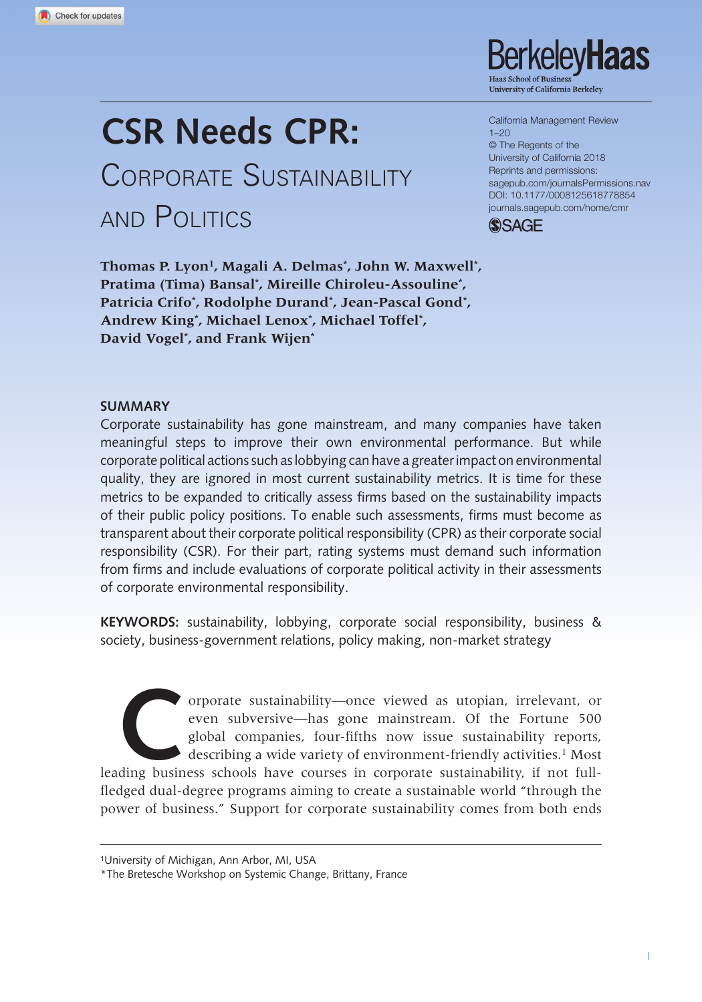778[854](http://crossmark.crossref.org/dialog/?doi=10.1177%2F0008125618778854&domain=pdf&date_stamp=2018-06-06) CMRXXX10.1177/0008125618778854California Management Review**CSR Needs CPR: Corporate Sustainability and Politics**

# **CSR Needs CPR:** CORPORATE SUSTAINABILITY and Politics

**Thomas P. Lyon1, Magali A. Delmas\*, John W. Maxwell\*, Pratima (Tima) Bansal\*, Mireille Chiroleu-Assouline\*, Patricia Crifo\*, Rodolphe Durand\*, Jean-Pascal Gond\*, Andrew King\*, Michael Lenox\*, Michael Toffel\*, David Vogel\*, and Frank Wijen\***

# **relevHaas** University of California Berkeley

DOI: 10.1177/0008125618778854 California Management Review 1–20 © The Regents of the University of California 2018 Reprints and permissions: [sagepub.com/journalsPermissions.nav](https://us.sagepub.com/en-us/journals-permissions)  [journals.sagepub.com/home/cmr](https://journals.sagepub.com/home/cmr)



#### **SUMMARY**

Corporate sustainability has gone mainstream, and many companies have taken meaningful steps to improve their own environmental performance. But while corporate political actions such as lobbying can have a greater impact on environmental quality, they are ignored in most current sustainability metrics. It is time for these metrics to be expanded to critically assess firms based on the sustainability impacts of their public policy positions. To enable such assessments, firms must become as transparent about their corporate political responsibility (CPR) as their corporate social responsibility (CSR). For their part, rating systems must demand such information from firms and include evaluations of corporate political activity in their assessments of corporate environmental responsibility.

**Keywords:** sustainability, lobbying, corporate social responsibility, business & society, business-government relations, policy making, non-market strategy

**CORPORE SUSTAINER CORPORE SUSTAINER (CORPORE SUSTAINER SUSTAINER SUSPENDIE)** describing a wide variety of environment-friendly activities.<sup>1</sup> Most leading business schools have courses in corporate sustainability, if not even subversive—has gone mainstream. Of the Fortune 500 global companies, four-fifths now issue sustainability reports, describing a wide variety of environment-friendly activities.<sup>1</sup> Most

fledged dual-degree programs aiming to create a sustainable world "through the power of business." Support for corporate sustainability comes from both ends

<sup>1</sup>University of Michigan, Ann Arbor, MI, USA

<sup>\*</sup>The Bretesche Workshop on Systemic Change, Brittany, France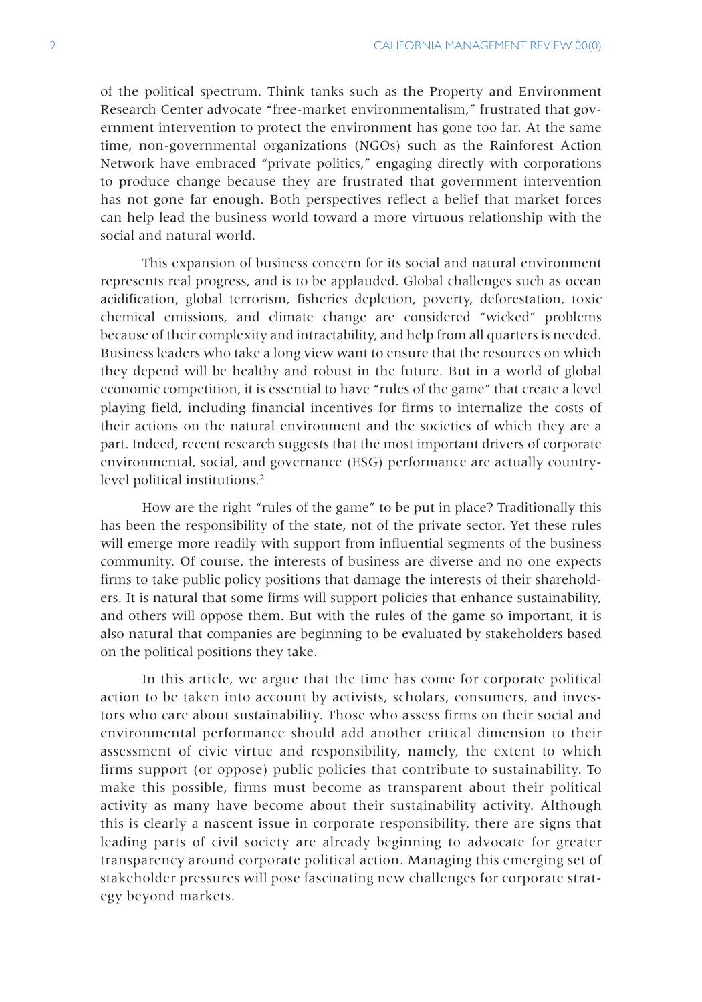of the political spectrum. Think tanks such as the Property and Environment Research Center advocate "free-market environmentalism," frustrated that government intervention to protect the environment has gone too far. At the same time, non-governmental organizations (NGOs) such as the Rainforest Action Network have embraced "private politics," engaging directly with corporations to produce change because they are frustrated that government intervention has not gone far enough. Both perspectives reflect a belief that market forces can help lead the business world toward a more virtuous relationship with the social and natural world.

This expansion of business concern for its social and natural environment represents real progress, and is to be applauded. Global challenges such as ocean acidification, global terrorism, fisheries depletion, poverty, deforestation, toxic chemical emissions, and climate change are considered "wicked" problems because of their complexity and intractability, and help from all quarters is needed. Business leaders who take a long view want to ensure that the resources on which they depend will be healthy and robust in the future. But in a world of global economic competition, it is essential to have "rules of the game" that create a level playing field, including financial incentives for firms to internalize the costs of their actions on the natural environment and the societies of which they are a part. Indeed, recent research suggests that the most important drivers of corporate environmental, social, and governance (ESG) performance are actually countrylevel political institutions.2

How are the right "rules of the game" to be put in place? Traditionally this has been the responsibility of the state, not of the private sector. Yet these rules will emerge more readily with support from influential segments of the business community. Of course, the interests of business are diverse and no one expects firms to take public policy positions that damage the interests of their shareholders. It is natural that some firms will support policies that enhance sustainability, and others will oppose them. But with the rules of the game so important, it is also natural that companies are beginning to be evaluated by stakeholders based on the political positions they take.

In this article, we argue that the time has come for corporate political action to be taken into account by activists, scholars, consumers, and investors who care about sustainability. Those who assess firms on their social and environmental performance should add another critical dimension to their assessment of civic virtue and responsibility, namely, the extent to which firms support (or oppose) public policies that contribute to sustainability. To make this possible, firms must become as transparent about their political activity as many have become about their sustainability activity. Although this is clearly a nascent issue in corporate responsibility, there are signs that leading parts of civil society are already beginning to advocate for greater transparency around corporate political action. Managing this emerging set of stakeholder pressures will pose fascinating new challenges for corporate strategy beyond markets.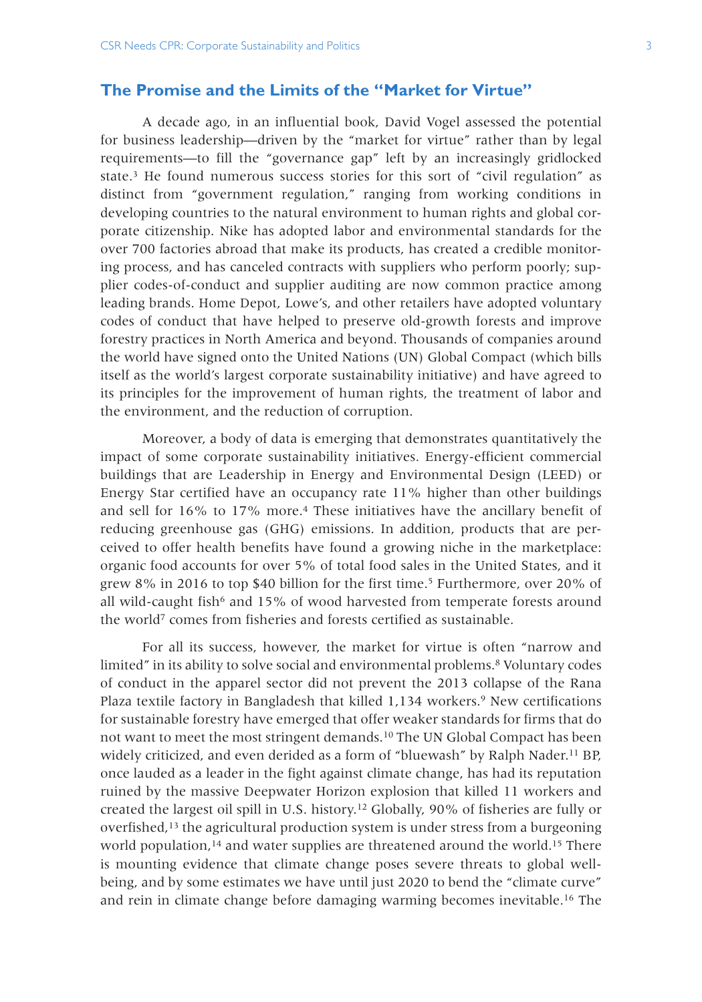#### **The Promise and the Limits of the "Market for Virtue"**

A decade ago, in an influential book, David Vogel assessed the potential for business leadership—driven by the "market for virtue" rather than by legal requirements—to fill the "governance gap" left by an increasingly gridlocked state.<sup>3</sup> He found numerous success stories for this sort of "civil regulation" as distinct from "government regulation," ranging from working conditions in developing countries to the natural environment to human rights and global corporate citizenship. Nike has adopted labor and environmental standards for the over 700 factories abroad that make its products, has created a credible monitoring process, and has canceled contracts with suppliers who perform poorly; supplier codes-of-conduct and supplier auditing are now common practice among leading brands. Home Depot, Lowe's, and other retailers have adopted voluntary codes of conduct that have helped to preserve old-growth forests and improve forestry practices in North America and beyond. Thousands of companies around the world have signed onto the United Nations (UN) Global Compact (which bills itself as the world's largest corporate sustainability initiative) and have agreed to its principles for the improvement of human rights, the treatment of labor and the environment, and the reduction of corruption.

Moreover, a body of data is emerging that demonstrates quantitatively the impact of some corporate sustainability initiatives. Energy-efficient commercial buildings that are Leadership in Energy and Environmental Design (LEED) or Energy Star certified have an occupancy rate 11% higher than other buildings and sell for 16% to 17% more.4 These initiatives have the ancillary benefit of reducing greenhouse gas (GHG) emissions. In addition, products that are perceived to offer health benefits have found a growing niche in the marketplace: organic food accounts for over 5% of total food sales in the United States, and it grew  $8\%$  in 2016 to top \$40 billion for the first time.<sup>5</sup> Furthermore, over 20% of all wild-caught fish<sup>6</sup> and 15% of wood harvested from temperate forests around the world7 comes from fisheries and forests certified as sustainable.

For all its success, however, the market for virtue is often "narrow and limited" in its ability to solve social and environmental problems.8 Voluntary codes of conduct in the apparel sector did not prevent the 2013 collapse of the Rana Plaza textile factory in Bangladesh that killed 1,134 workers.<sup>9</sup> New certifications for sustainable forestry have emerged that offer weaker standards for firms that do not want to meet the most stringent demands.10 The UN Global Compact has been widely criticized, and even derided as a form of "bluewash" by Ralph Nader.<sup>11</sup> BP, once lauded as a leader in the fight against climate change, has had its reputation ruined by the massive Deepwater Horizon explosion that killed 11 workers and created the largest oil spill in U.S. history.12 Globally, 90% of fisheries are fully or overfished,13 the agricultural production system is under stress from a burgeoning world population,<sup>14</sup> and water supplies are threatened around the world.<sup>15</sup> There is mounting evidence that climate change poses severe threats to global wellbeing, and by some estimates we have until just 2020 to bend the "climate curve" and rein in climate change before damaging warming becomes inevitable.16 The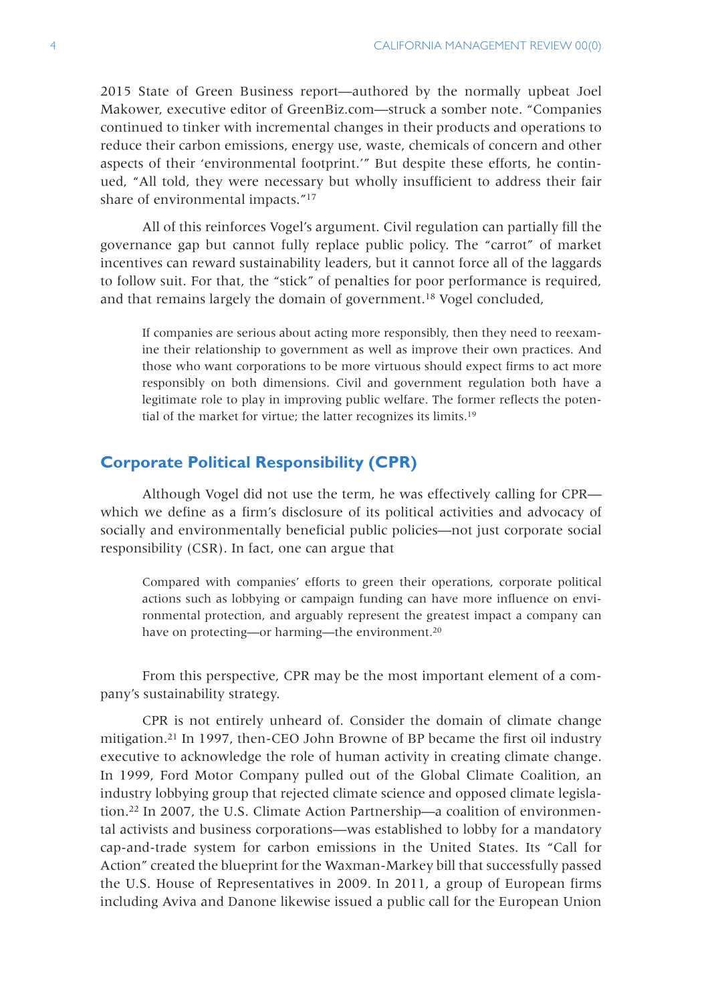2015 State of Green Business report—authored by the normally upbeat Joel Makower, executive editor of GreenBiz.com—struck a somber note. "Companies continued to tinker with incremental changes in their products and operations to reduce their carbon emissions, energy use, waste, chemicals of concern and other aspects of their 'environmental footprint.'" But despite these efforts, he continued, "All told, they were necessary but wholly insufficient to address their fair share of environmental impacts."17

All of this reinforces Vogel's argument. Civil regulation can partially fill the governance gap but cannot fully replace public policy. The "carrot" of market incentives can reward sustainability leaders, but it cannot force all of the laggards to follow suit. For that, the "stick" of penalties for poor performance is required, and that remains largely the domain of government.<sup>18</sup> Vogel concluded,

If companies are serious about acting more responsibly, then they need to reexamine their relationship to government as well as improve their own practices. And those who want corporations to be more virtuous should expect firms to act more responsibly on both dimensions. Civil and government regulation both have a legitimate role to play in improving public welfare. The former reflects the potential of the market for virtue; the latter recognizes its limits.19

## **Corporate Political Responsibility (CPR)**

Although Vogel did not use the term, he was effectively calling for CPR which we define as a firm's disclosure of its political activities and advocacy of socially and environmentally beneficial public policies—not just corporate social responsibility (CSR). In fact, one can argue that

Compared with companies' efforts to green their operations, corporate political actions such as lobbying or campaign funding can have more influence on environmental protection, and arguably represent the greatest impact a company can have on protecting—or harming—the environment.<sup>20</sup>

From this perspective, CPR may be the most important element of a company's sustainability strategy.

CPR is not entirely unheard of. Consider the domain of climate change mitigation.21 In 1997, then-CEO John Browne of BP became the first oil industry executive to acknowledge the role of human activity in creating climate change. In 1999, Ford Motor Company pulled out of the Global Climate Coalition, an industry lobbying group that rejected climate science and opposed climate legislation.22 In 2007, the U.S. Climate Action Partnership—a coalition of environmental activists and business corporations—was established to lobby for a mandatory cap-and-trade system for carbon emissions in the United States. Its "Call for Action" created the blueprint for the Waxman-Markey bill that successfully passed the U.S. House of Representatives in 2009. In 2011, a group of European firms including Aviva and Danone likewise issued a public call for the European Union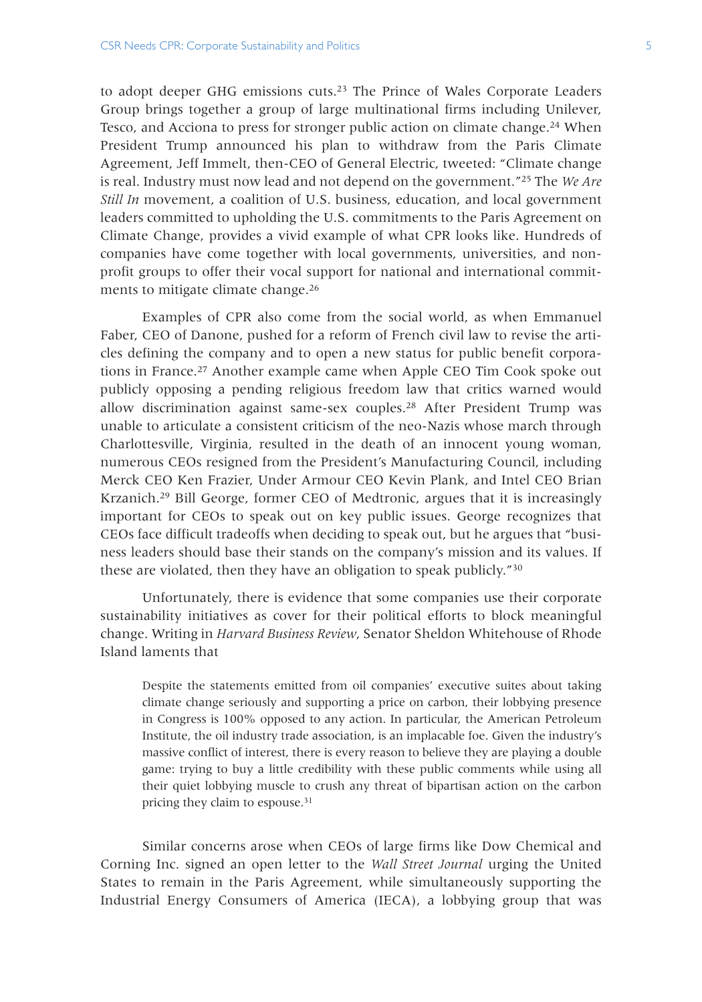to adopt deeper GHG emissions cuts.23 The Prince of Wales Corporate Leaders Group brings together a group of large multinational firms including Unilever, Tesco, and Acciona to press for stronger public action on climate change.<sup>24</sup> When President Trump announced his plan to withdraw from the Paris Climate Agreement, Jeff Immelt, then-CEO of General Electric, tweeted: "Climate change is real. Industry must now lead and not depend on the government."25 The *We Are Still In* movement, a coalition of U.S. business, education, and local government leaders committed to upholding the U.S. commitments to the Paris Agreement on Climate Change, provides a vivid example of what CPR looks like. Hundreds of companies have come together with local governments, universities, and nonprofit groups to offer their vocal support for national and international commitments to mitigate climate change.<sup>26</sup>

Examples of CPR also come from the social world, as when Emmanuel Faber, CEO of Danone, pushed for a reform of French civil law to revise the articles defining the company and to open a new status for public benefit corporations in France.27 Another example came when Apple CEO Tim Cook spoke out publicly opposing a pending religious freedom law that critics warned would allow discrimination against same-sex couples.28 After President Trump was unable to articulate a consistent criticism of the neo-Nazis whose march through Charlottesville, Virginia, resulted in the death of an innocent young woman, numerous CEOs resigned from the President's Manufacturing Council, including Merck CEO Ken Frazier, Under Armour CEO Kevin Plank, and Intel CEO Brian Krzanich.29 Bill George, former CEO of Medtronic, argues that it is increasingly important for CEOs to speak out on key public issues. George recognizes that CEOs face difficult tradeoffs when deciding to speak out, but he argues that "business leaders should base their stands on the company's mission and its values. If these are violated, then they have an obligation to speak publicly."<sup>30</sup>

Unfortunately, there is evidence that some companies use their corporate sustainability initiatives as cover for their political efforts to block meaningful change. Writing in *Harvard Business Review*, Senator Sheldon Whitehouse of Rhode Island laments that

Despite the statements emitted from oil companies' executive suites about taking climate change seriously and supporting a price on carbon, their lobbying presence in Congress is 100% opposed to any action. In particular, the American Petroleum Institute, the oil industry trade association, is an implacable foe. Given the industry's massive conflict of interest, there is every reason to believe they are playing a double game: trying to buy a little credibility with these public comments while using all their quiet lobbying muscle to crush any threat of bipartisan action on the carbon pricing they claim to espouse.<sup>31</sup>

Similar concerns arose when CEOs of large firms like Dow Chemical and Corning Inc. signed an open letter to the *Wall Street Journal* urging the United States to remain in the Paris Agreement, while simultaneously supporting the Industrial Energy Consumers of America (IECA), a lobbying group that was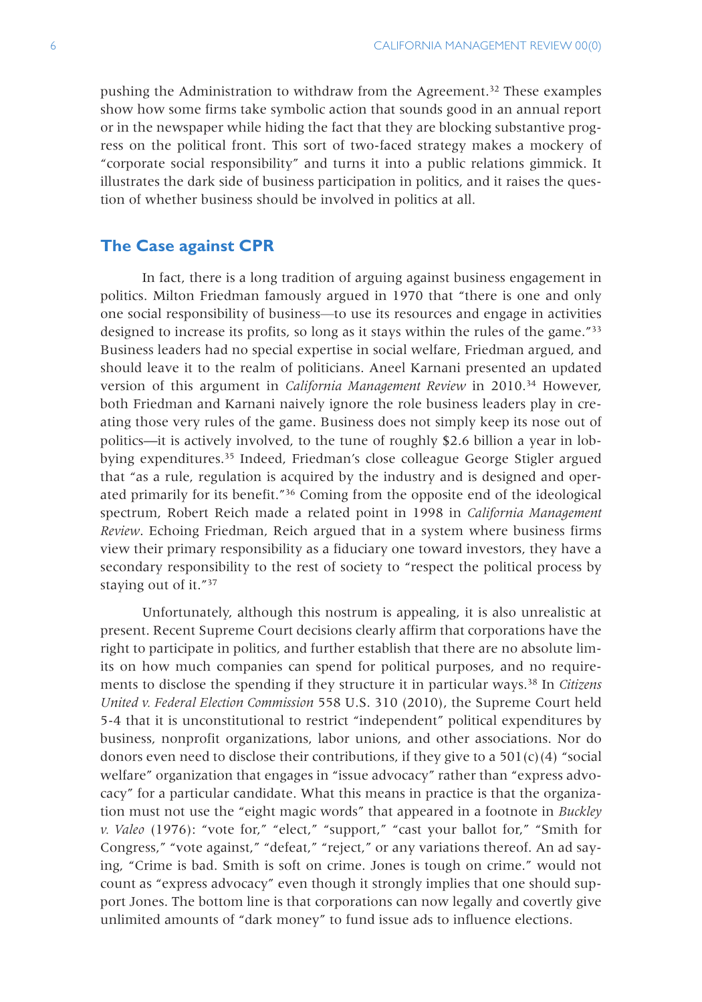pushing the Administration to withdraw from the Agreement.32 These examples show how some firms take symbolic action that sounds good in an annual report or in the newspaper while hiding the fact that they are blocking substantive progress on the political front. This sort of two-faced strategy makes a mockery of "corporate social responsibility" and turns it into a public relations gimmick. It illustrates the dark side of business participation in politics, and it raises the question of whether business should be involved in politics at all.

#### **The Case against CPR**

In fact, there is a long tradition of arguing against business engagement in politics. Milton Friedman famously argued in 1970 that "there is one and only one social responsibility of business―to use its resources and engage in activities designed to increase its profits, so long as it stays within the rules of the game."33 Business leaders had no special expertise in social welfare, Friedman argued, and should leave it to the realm of politicians. Aneel Karnani presented an updated version of this argument in *California Management Review* in 2010.34 However, both Friedman and Karnani naively ignore the role business leaders play in creating those very rules of the game. Business does not simply keep its nose out of politics—it is actively involved, to the tune of roughly \$2.6 billion a year in lobbying expenditures.35 Indeed, Friedman's close colleague George Stigler argued that "as a rule, regulation is acquired by the industry and is designed and operated primarily for its benefit."36 Coming from the opposite end of the ideological spectrum, Robert Reich made a related point in 1998 in *California Management Review*. Echoing Friedman, Reich argued that in a system where business firms view their primary responsibility as a fiduciary one toward investors, they have a secondary responsibility to the rest of society to "respect the political process by staying out of it."37

Unfortunately, although this nostrum is appealing, it is also unrealistic at present. Recent Supreme Court decisions clearly affirm that corporations have the right to participate in politics, and further establish that there are no absolute limits on how much companies can spend for political purposes, and no requirements to disclose the spending if they structure it in particular ways.38 In *Citizens United v. Federal Election Commission* 558 U.S. 310 (2010), the Supreme Court held 5-4 that it is unconstitutional to restrict "independent" political expenditures by business, nonprofit organizations, labor unions, and other associations. Nor do donors even need to disclose their contributions, if they give to a  $501(c)(4)$  "social welfare" organization that engages in "issue advocacy" rather than "express advocacy" for a particular candidate. What this means in practice is that the organization must not use the "eight magic words" that appeared in a footnote in *Buckley v. Valeo* (1976): "vote for," "elect," "support," "cast your ballot for," "Smith for Congress," "vote against," "defeat," "reject," or any variations thereof. An ad saying, "Crime is bad. Smith is soft on crime. Jones is tough on crime." would not count as "express advocacy" even though it strongly implies that one should support Jones. The bottom line is that corporations can now legally and covertly give unlimited amounts of "dark money" to fund issue ads to influence elections.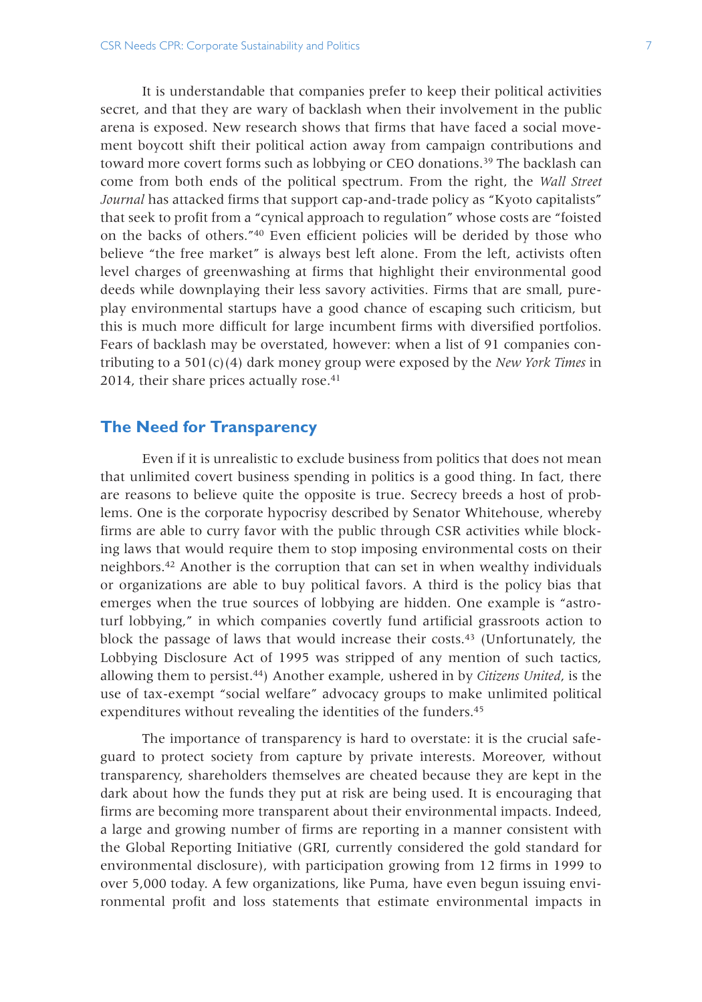It is understandable that companies prefer to keep their political activities secret, and that they are wary of backlash when their involvement in the public arena is exposed. New research shows that firms that have faced a social movement boycott shift their political action away from campaign contributions and toward more covert forms such as lobbying or CEO donations.<sup>39</sup> The backlash can come from both ends of the political spectrum. From the right, the *Wall Street Journal* has attacked firms that support cap-and-trade policy as "Kyoto capitalists" that seek to profit from a "cynical approach to regulation" whose costs are "foisted on the backs of others."40 Even efficient policies will be derided by those who believe "the free market" is always best left alone. From the left, activists often level charges of greenwashing at firms that highlight their environmental good deeds while downplaying their less savory activities. Firms that are small, pureplay environmental startups have a good chance of escaping such criticism, but this is much more difficult for large incumbent firms with diversified portfolios. Fears of backlash may be overstated, however: when a list of 91 companies contributing to a 501(c)(4) dark money group were exposed by the *New York Times* in 2014, their share prices actually rose.<sup>41</sup>

### **The Need for Transparency**

Even if it is unrealistic to exclude business from politics that does not mean that unlimited covert business spending in politics is a good thing. In fact, there are reasons to believe quite the opposite is true. Secrecy breeds a host of problems. One is the corporate hypocrisy described by Senator Whitehouse, whereby firms are able to curry favor with the public through CSR activities while blocking laws that would require them to stop imposing environmental costs on their neighbors.42 Another is the corruption that can set in when wealthy individuals or organizations are able to buy political favors. A third is the policy bias that emerges when the true sources of lobbying are hidden. One example is "astroturf lobbying," in which companies covertly fund artificial grassroots action to block the passage of laws that would increase their costs.43 (Unfortunately, the Lobbying Disclosure Act of 1995 was stripped of any mention of such tactics, allowing them to persist.44) Another example, ushered in by *Citizens United*, is the use of tax-exempt "social welfare" advocacy groups to make unlimited political expenditures without revealing the identities of the funders.<sup>45</sup>

The importance of transparency is hard to overstate: it is the crucial safeguard to protect society from capture by private interests. Moreover, without transparency, shareholders themselves are cheated because they are kept in the dark about how the funds they put at risk are being used. It is encouraging that firms are becoming more transparent about their environmental impacts. Indeed, a large and growing number of firms are reporting in a manner consistent with the Global Reporting Initiative (GRI, currently considered the gold standard for environmental disclosure), with participation growing from 12 firms in 1999 to over 5,000 today. A few organizations, like Puma, have even begun issuing environmental profit and loss statements that estimate environmental impacts in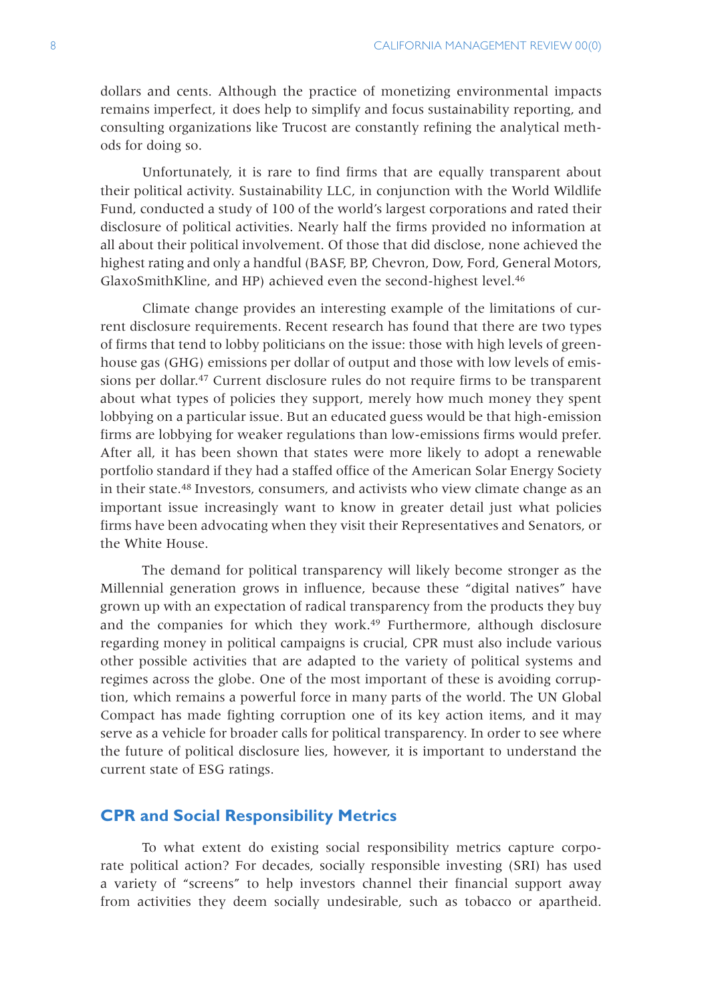dollars and cents. Although the practice of monetizing environmental impacts remains imperfect, it does help to simplify and focus sustainability reporting, and consulting organizations like Trucost are constantly refining the analytical methods for doing so.

Unfortunately, it is rare to find firms that are equally transparent about their political activity. Sustainability LLC, in conjunction with the World Wildlife Fund, conducted a study of 100 of the world's largest corporations and rated their disclosure of political activities. Nearly half the firms provided no information at all about their political involvement. Of those that did disclose, none achieved the highest rating and only a handful (BASF, BP, Chevron, Dow, Ford, General Motors, GlaxoSmithKline, and HP) achieved even the second-highest level.46

Climate change provides an interesting example of the limitations of current disclosure requirements. Recent research has found that there are two types of firms that tend to lobby politicians on the issue: those with high levels of greenhouse gas (GHG) emissions per dollar of output and those with low levels of emissions per dollar.47 Current disclosure rules do not require firms to be transparent about what types of policies they support, merely how much money they spent lobbying on a particular issue. But an educated guess would be that high-emission firms are lobbying for weaker regulations than low-emissions firms would prefer. After all, it has been shown that states were more likely to adopt a renewable portfolio standard if they had a staffed office of the American Solar Energy Society in their state.<sup>48</sup> Investors, consumers, and activists who view climate change as an important issue increasingly want to know in greater detail just what policies firms have been advocating when they visit their Representatives and Senators, or the White House.

The demand for political transparency will likely become stronger as the Millennial generation grows in influence, because these "digital natives" have grown up with an expectation of radical transparency from the products they buy and the companies for which they work.<sup>49</sup> Furthermore, although disclosure regarding money in political campaigns is crucial, CPR must also include various other possible activities that are adapted to the variety of political systems and regimes across the globe. One of the most important of these is avoiding corruption, which remains a powerful force in many parts of the world. The UN Global Compact has made fighting corruption one of its key action items, and it may serve as a vehicle for broader calls for political transparency. In order to see where the future of political disclosure lies, however, it is important to understand the current state of ESG ratings.

#### **CPR and Social Responsibility Metrics**

To what extent do existing social responsibility metrics capture corporate political action? For decades, socially responsible investing (SRI) has used a variety of "screens" to help investors channel their financial support away from activities they deem socially undesirable, such as tobacco or apartheid.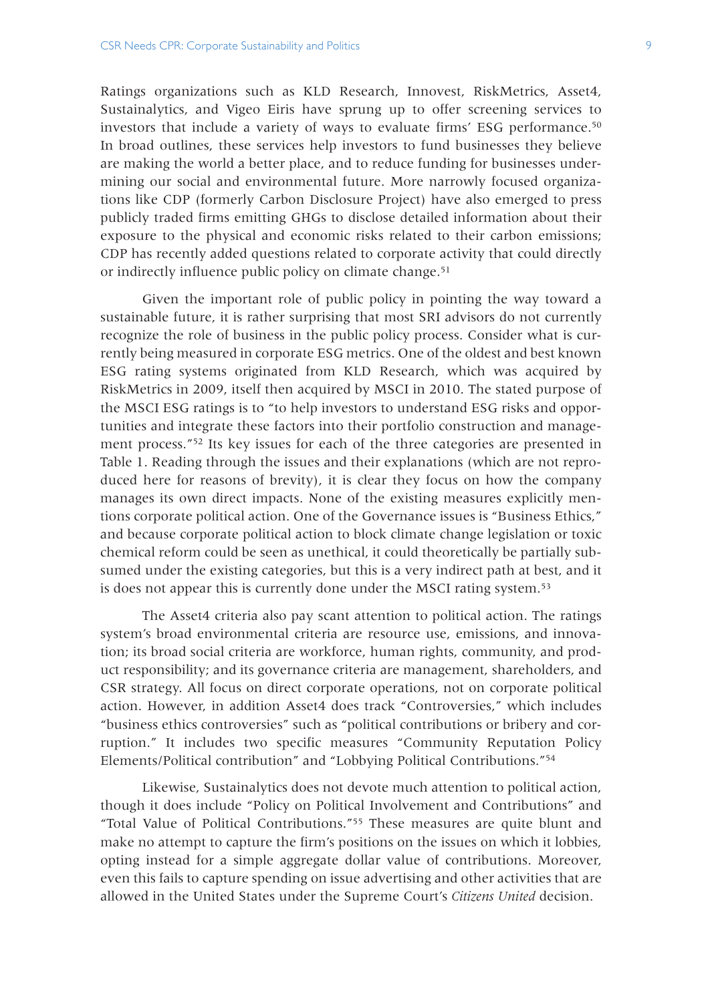Ratings organizations such as KLD Research, Innovest, RiskMetrics, Asset4, Sustainalytics, and Vigeo Eiris have sprung up to offer screening services to investors that include a variety of ways to evaluate firms' ESG performance.50 In broad outlines, these services help investors to fund businesses they believe are making the world a better place, and to reduce funding for businesses undermining our social and environmental future. More narrowly focused organizations like CDP (formerly Carbon Disclosure Project) have also emerged to press publicly traded firms emitting GHGs to disclose detailed information about their exposure to the physical and economic risks related to their carbon emissions; CDP has recently added questions related to corporate activity that could directly or indirectly influence public policy on climate change.<sup>51</sup>

Given the important role of public policy in pointing the way toward a sustainable future, it is rather surprising that most SRI advisors do not currently recognize the role of business in the public policy process. Consider what is currently being measured in corporate ESG metrics. One of the oldest and best known ESG rating systems originated from KLD Research, which was acquired by RiskMetrics in 2009, itself then acquired by MSCI in 2010. The stated purpose of the MSCI ESG ratings is to "to help investors to understand ESG risks and opportunities and integrate these factors into their portfolio construction and management process."<sup>52</sup> Its key issues for each of the three categories are presented in Table 1. Reading through the issues and their explanations (which are not reproduced here for reasons of brevity), it is clear they focus on how the company manages its own direct impacts. None of the existing measures explicitly mentions corporate political action. One of the Governance issues is "Business Ethics," and because corporate political action to block climate change legislation or toxic chemical reform could be seen as unethical, it could theoretically be partially subsumed under the existing categories, but this is a very indirect path at best, and it is does not appear this is currently done under the MSCI rating system.53

The Asset4 criteria also pay scant attention to political action. The ratings system's broad environmental criteria are resource use, emissions, and innovation; its broad social criteria are workforce, human rights, community, and product responsibility; and its governance criteria are management, shareholders, and CSR strategy. All focus on direct corporate operations, not on corporate political action. However, in addition Asset4 does track "Controversies," which includes "business ethics controversies" such as "political contributions or bribery and corruption." It includes two specific measures "Community Reputation Policy Elements/Political contribution" and "Lobbying Political Contributions."54

Likewise, Sustainalytics does not devote much attention to political action, though it does include "Policy on Political Involvement and Contributions" and "Total Value of Political Contributions."55 These measures are quite blunt and make no attempt to capture the firm's positions on the issues on which it lobbies, opting instead for a simple aggregate dollar value of contributions. Moreover, even this fails to capture spending on issue advertising and other activities that are allowed in the United States under the Supreme Court's *Citizens United* decision.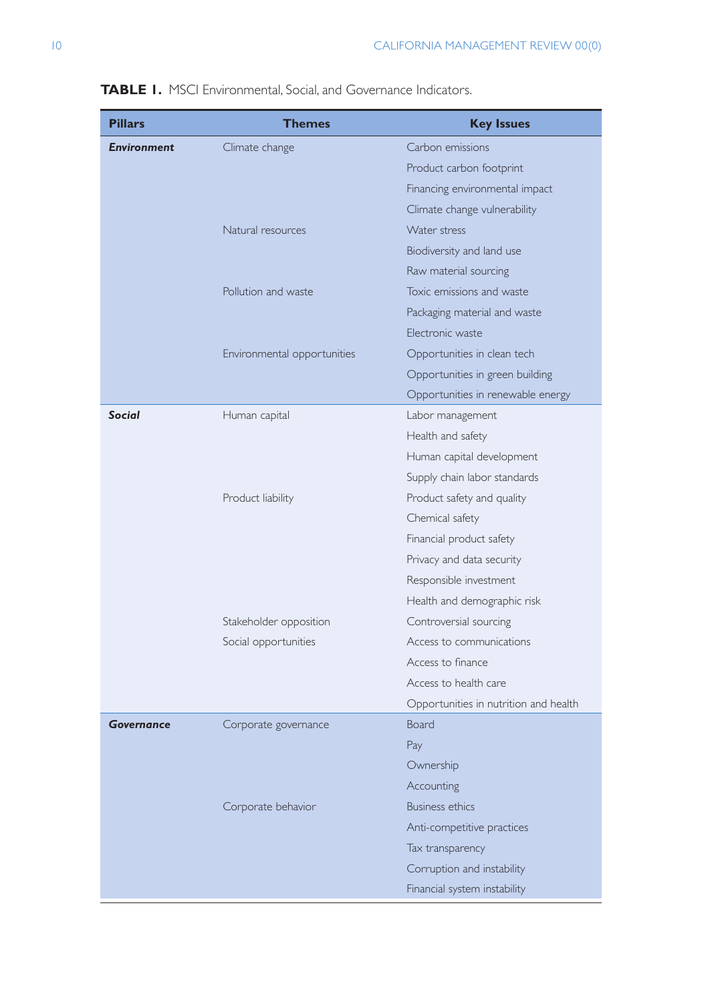| <b>Pillars</b>     | <b>Themes</b>               | <b>Key Issues</b>                     |
|--------------------|-----------------------------|---------------------------------------|
| <b>Environment</b> | Climate change              | Carbon emissions                      |
|                    |                             | Product carbon footprint              |
|                    |                             | Financing environmental impact        |
|                    |                             | Climate change vulnerability          |
|                    | Natural resources           | Water stress                          |
|                    |                             | Biodiversity and land use             |
|                    |                             | Raw material sourcing                 |
|                    | Pollution and waste         | Toxic emissions and waste             |
|                    |                             | Packaging material and waste          |
|                    |                             | Electronic waste                      |
|                    | Environmental opportunities | Opportunities in clean tech           |
|                    |                             | Opportunities in green building       |
|                    |                             | Opportunities in renewable energy     |
| <b>Social</b>      | Human capital               | Labor management                      |
|                    |                             | Health and safety                     |
|                    |                             | Human capital development             |
|                    |                             | Supply chain labor standards          |
|                    | Product liability           | Product safety and quality            |
|                    |                             | Chemical safety                       |
|                    |                             | Financial product safety              |
|                    |                             | Privacy and data security             |
|                    |                             | Responsible investment                |
|                    |                             | Health and demographic risk           |
|                    | Stakeholder opposition      | Controversial sourcing                |
|                    | Social opportunities        | Access to communications              |
|                    |                             | Access to finance                     |
|                    |                             | Access to health care                 |
|                    |                             | Opportunities in nutrition and health |
| Governance         | Corporate governance        | Board                                 |
|                    |                             | Pay                                   |
|                    |                             | Ownership                             |
|                    |                             | Accounting                            |
|                    | Corporate behavior          | <b>Business ethics</b>                |
|                    |                             | Anti-competitive practices            |
|                    |                             | Tax transparency                      |
|                    |                             | Corruption and instability            |
|                    |                             | Financial system instability          |

**TABLE 1.** MSCI Environmental, Social, and Governance Indicators.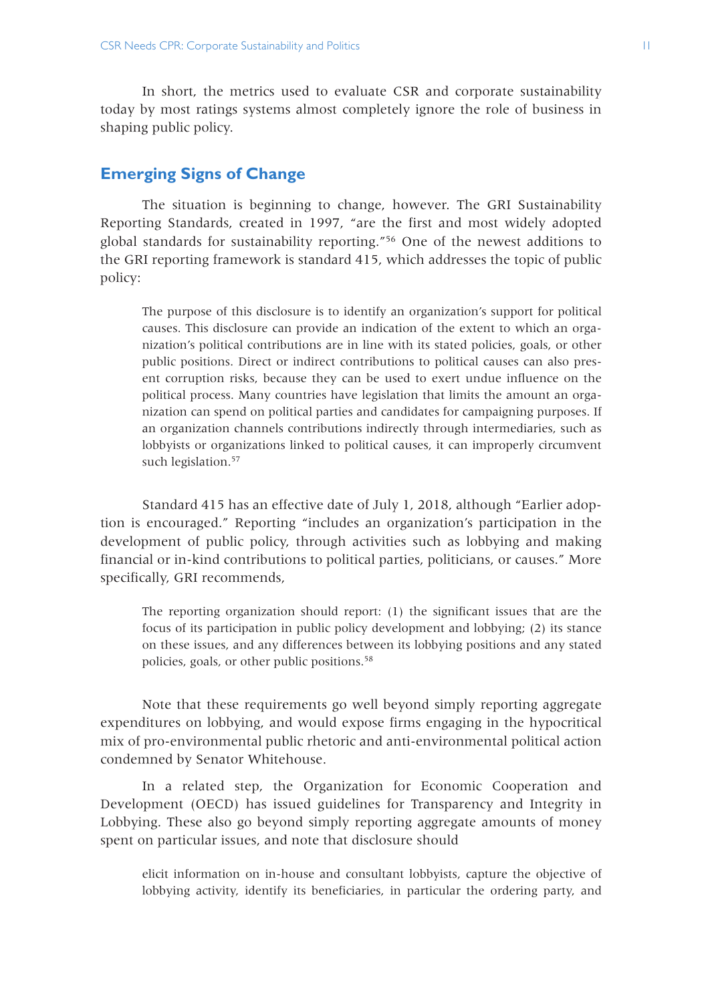In short, the metrics used to evaluate CSR and corporate sustainability today by most ratings systems almost completely ignore the role of business in shaping public policy.

# **Emerging Signs of Change**

The situation is beginning to change, however. The GRI Sustainability Reporting Standards, created in 1997, "are the first and most widely adopted global standards for sustainability reporting."56 One of the newest additions to the GRI reporting framework is standard 415, which addresses the topic of public policy:

The purpose of this disclosure is to identify an organization's support for political causes. This disclosure can provide an indication of the extent to which an organization's political contributions are in line with its stated policies, goals, or other public positions. Direct or indirect contributions to political causes can also present corruption risks, because they can be used to exert undue influence on the political process. Many countries have legislation that limits the amount an organization can spend on political parties and candidates for campaigning purposes. If an organization channels contributions indirectly through intermediaries, such as lobbyists or organizations linked to political causes, it can improperly circumvent such legislation.<sup>57</sup>

Standard 415 has an effective date of July 1, 2018, although "Earlier adoption is encouraged." Reporting "includes an organization's participation in the development of public policy, through activities such as lobbying and making financial or in-kind contributions to political parties, politicians, or causes." More specifically, GRI recommends,

The reporting organization should report: (1) the significant issues that are the focus of its participation in public policy development and lobbying; (2) its stance on these issues, and any differences between its lobbying positions and any stated policies, goals, or other public positions.<sup>58</sup>

Note that these requirements go well beyond simply reporting aggregate expenditures on lobbying, and would expose firms engaging in the hypocritical mix of pro-environmental public rhetoric and anti-environmental political action condemned by Senator Whitehouse.

In a related step, the Organization for Economic Cooperation and Development (OECD) has issued guidelines for Transparency and Integrity in Lobbying. These also go beyond simply reporting aggregate amounts of money spent on particular issues, and note that disclosure should

elicit information on in-house and consultant lobbyists, capture the objective of lobbying activity, identify its beneficiaries, in particular the ordering party, and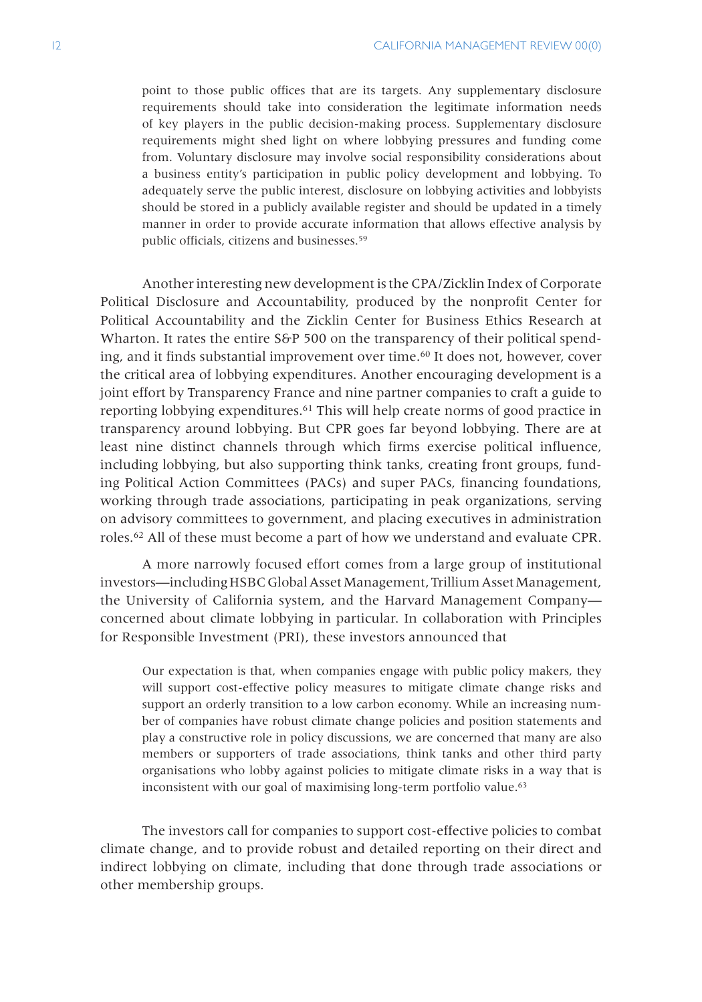point to those public offices that are its targets. Any supplementary disclosure requirements should take into consideration the legitimate information needs of key players in the public decision-making process. Supplementary disclosure requirements might shed light on where lobbying pressures and funding come from. Voluntary disclosure may involve social responsibility considerations about a business entity's participation in public policy development and lobbying. To adequately serve the public interest, disclosure on lobbying activities and lobbyists should be stored in a publicly available register and should be updated in a timely manner in order to provide accurate information that allows effective analysis by public officials, citizens and businesses.59

Another interesting new development is the CPA/Zicklin Index of Corporate Political Disclosure and Accountability, produced by the nonprofit Center for Political Accountability and the Zicklin Center for Business Ethics Research at Wharton. It rates the entire S&P 500 on the transparency of their political spending, and it finds substantial improvement over time.60 It does not, however, cover the critical area of lobbying expenditures. Another encouraging development is a joint effort by Transparency France and nine partner companies to craft a guide to reporting lobbying expenditures.61 This will help create norms of good practice in transparency around lobbying. But CPR goes far beyond lobbying. There are at least nine distinct channels through which firms exercise political influence, including lobbying, but also supporting think tanks, creating front groups, funding Political Action Committees (PACs) and super PACs, financing foundations, working through trade associations, participating in peak organizations, serving on advisory committees to government, and placing executives in administration roles.62 All of these must become a part of how we understand and evaluate CPR.

A more narrowly focused effort comes from a large group of institutional investors—including HSBC Global Asset Management, Trillium Asset Management, the University of California system, and the Harvard Management Company concerned about climate lobbying in particular. In collaboration with Principles for Responsible Investment (PRI), these investors announced that

Our expectation is that, when companies engage with public policy makers, they will support cost-effective policy measures to mitigate climate change risks and support an orderly transition to a low carbon economy. While an increasing number of companies have robust climate change policies and position statements and play a constructive role in policy discussions, we are concerned that many are also members or supporters of trade associations, think tanks and other third party organisations who lobby against policies to mitigate climate risks in a way that is inconsistent with our goal of maximising long-term portfolio value.<sup>63</sup>

The investors call for companies to support cost-effective policies to combat climate change, and to provide robust and detailed reporting on their direct and indirect lobbying on climate, including that done through trade associations or other membership groups.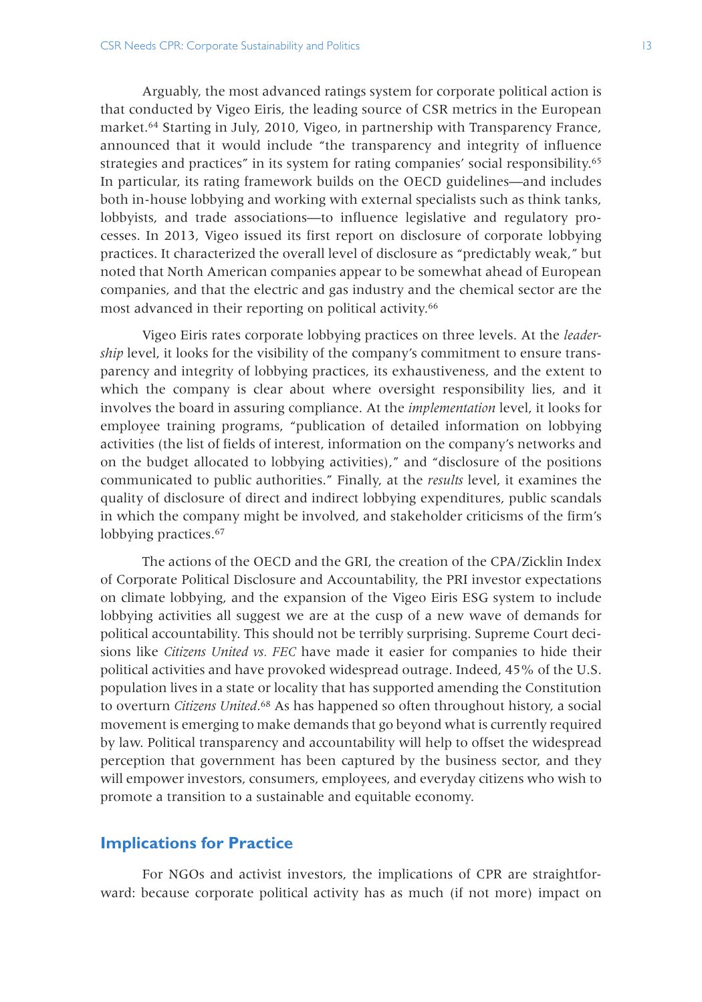Arguably, the most advanced ratings system for corporate political action is that conducted by Vigeo Eiris, the leading source of CSR metrics in the European market.64 Starting in July, 2010, Vigeo, in partnership with Transparency France, announced that it would include "the transparency and integrity of influence strategies and practices" in its system for rating companies' social responsibility.<sup>65</sup> In particular, its rating framework builds on the OECD guidelines—and includes both in-house lobbying and working with external specialists such as think tanks, lobbyists, and trade associations—to influence legislative and regulatory processes. In 2013, Vigeo issued its first report on disclosure of corporate lobbying practices. It characterized the overall level of disclosure as "predictably weak," but noted that North American companies appear to be somewhat ahead of European companies, and that the electric and gas industry and the chemical sector are the most advanced in their reporting on political activity.<sup>66</sup>

Vigeo Eiris rates corporate lobbying practices on three levels. At the *leadership* level, it looks for the visibility of the company's commitment to ensure transparency and integrity of lobbying practices, its exhaustiveness, and the extent to which the company is clear about where oversight responsibility lies, and it involves the board in assuring compliance. At the *implementation* level, it looks for employee training programs, "publication of detailed information on lobbying activities (the list of fields of interest, information on the company's networks and on the budget allocated to lobbying activities)," and "disclosure of the positions communicated to public authorities." Finally, at the *results* level, it examines the quality of disclosure of direct and indirect lobbying expenditures, public scandals in which the company might be involved, and stakeholder criticisms of the firm's lobbying practices.<sup>67</sup>

The actions of the OECD and the GRI, the creation of the CPA/Zicklin Index of Corporate Political Disclosure and Accountability, the PRI investor expectations on climate lobbying, and the expansion of the Vigeo Eiris ESG system to include lobbying activities all suggest we are at the cusp of a new wave of demands for political accountability. This should not be terribly surprising. Supreme Court decisions like *Citizens United vs. FEC* have made it easier for companies to hide their political activities and have provoked widespread outrage. Indeed, 45% of the U.S. population lives in a state or locality that has supported amending the Constitution to overturn *Citizens United*. 68 As has happened so often throughout history, a social movement is emerging to make demands that go beyond what is currently required by law. Political transparency and accountability will help to offset the widespread perception that government has been captured by the business sector, and they will empower investors, consumers, employees, and everyday citizens who wish to promote a transition to a sustainable and equitable economy.

#### **Implications for Practice**

For NGOs and activist investors, the implications of CPR are straightforward: because corporate political activity has as much (if not more) impact on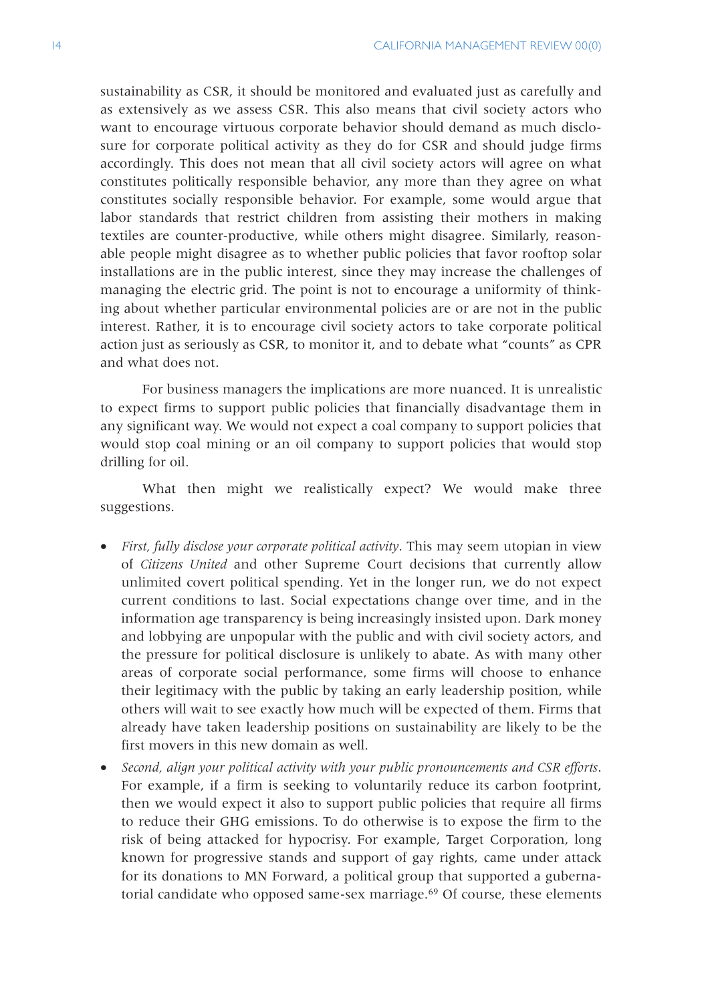sustainability as CSR, it should be monitored and evaluated just as carefully and as extensively as we assess CSR. This also means that civil society actors who want to encourage virtuous corporate behavior should demand as much disclosure for corporate political activity as they do for CSR and should judge firms accordingly. This does not mean that all civil society actors will agree on what constitutes politically responsible behavior, any more than they agree on what constitutes socially responsible behavior. For example, some would argue that labor standards that restrict children from assisting their mothers in making textiles are counter-productive, while others might disagree. Similarly, reasonable people might disagree as to whether public policies that favor rooftop solar installations are in the public interest, since they may increase the challenges of managing the electric grid. The point is not to encourage a uniformity of thinking about whether particular environmental policies are or are not in the public interest. Rather, it is to encourage civil society actors to take corporate political action just as seriously as CSR, to monitor it, and to debate what "counts" as CPR and what does not.

For business managers the implications are more nuanced. It is unrealistic to expect firms to support public policies that financially disadvantage them in any significant way. We would not expect a coal company to support policies that would stop coal mining or an oil company to support policies that would stop drilling for oil.

What then might we realistically expect? We would make three suggestions.

- *First, fully disclose your corporate political activity*. This may seem utopian in view of *Citizens United* and other Supreme Court decisions that currently allow unlimited covert political spending. Yet in the longer run, we do not expect current conditions to last. Social expectations change over time, and in the information age transparency is being increasingly insisted upon. Dark money and lobbying are unpopular with the public and with civil society actors, and the pressure for political disclosure is unlikely to abate. As with many other areas of corporate social performance, some firms will choose to enhance their legitimacy with the public by taking an early leadership position, while others will wait to see exactly how much will be expected of them. Firms that already have taken leadership positions on sustainability are likely to be the first movers in this new domain as well.
- *Second, align your political activity with your public pronouncements and CSR efforts*. For example, if a firm is seeking to voluntarily reduce its carbon footprint, then we would expect it also to support public policies that require all firms to reduce their GHG emissions. To do otherwise is to expose the firm to the risk of being attacked for hypocrisy. For example, Target Corporation, long known for progressive stands and support of gay rights, came under attack for its donations to MN Forward, a political group that supported a gubernatorial candidate who opposed same-sex marriage.<sup>69</sup> Of course, these elements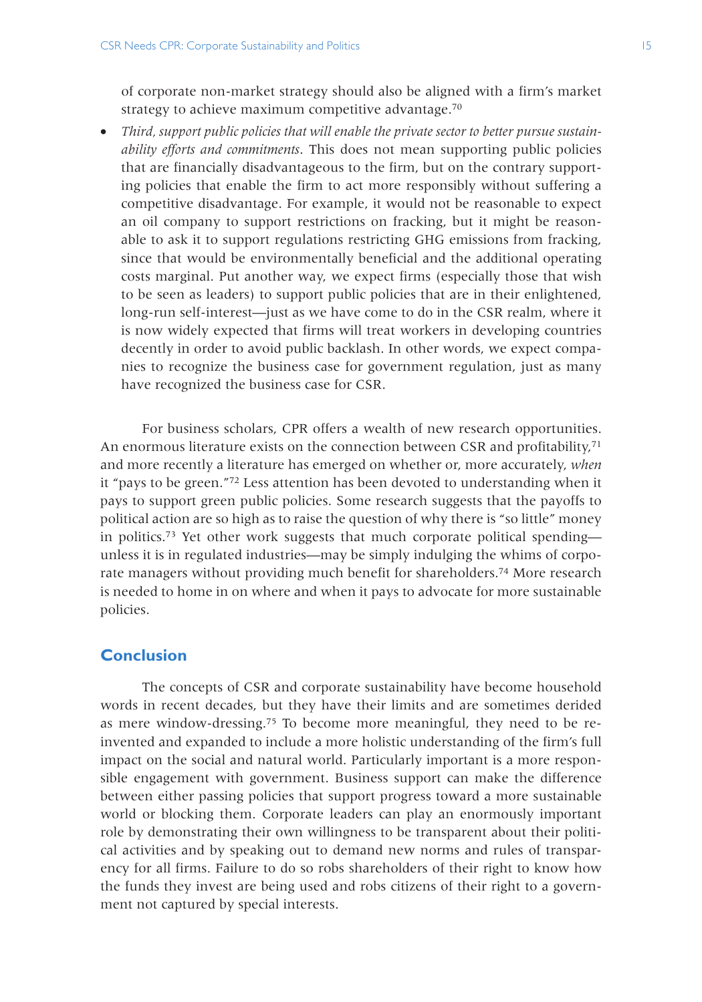of corporate non-market strategy should also be aligned with a firm's market strategy to achieve maximum competitive advantage.<sup>70</sup>

• *Third, support public policies that will enable the private sector to better pursue sustainability efforts and commitments*. This does not mean supporting public policies that are financially disadvantageous to the firm, but on the contrary supporting policies that enable the firm to act more responsibly without suffering a competitive disadvantage. For example, it would not be reasonable to expect an oil company to support restrictions on fracking, but it might be reasonable to ask it to support regulations restricting GHG emissions from fracking, since that would be environmentally beneficial and the additional operating costs marginal. Put another way, we expect firms (especially those that wish to be seen as leaders) to support public policies that are in their enlightened, long-run self-interest—just as we have come to do in the CSR realm, where it is now widely expected that firms will treat workers in developing countries decently in order to avoid public backlash. In other words, we expect companies to recognize the business case for government regulation, just as many have recognized the business case for CSR.

For business scholars, CPR offers a wealth of new research opportunities. An enormous literature exists on the connection between CSR and profitability,<sup>71</sup> and more recently a literature has emerged on whether or, more accurately, *when* it "pays to be green."72 Less attention has been devoted to understanding when it pays to support green public policies. Some research suggests that the payoffs to political action are so high as to raise the question of why there is "so little" money in politics.<sup>73</sup> Yet other work suggests that much corporate political spending unless it is in regulated industries—may be simply indulging the whims of corporate managers without providing much benefit for shareholders.74 More research is needed to home in on where and when it pays to advocate for more sustainable policies.

#### **Conclusion**

The concepts of CSR and corporate sustainability have become household words in recent decades, but they have their limits and are sometimes derided as mere window-dressing.<sup>75</sup> To become more meaningful, they need to be reinvented and expanded to include a more holistic understanding of the firm's full impact on the social and natural world. Particularly important is a more responsible engagement with government. Business support can make the difference between either passing policies that support progress toward a more sustainable world or blocking them. Corporate leaders can play an enormously important role by demonstrating their own willingness to be transparent about their political activities and by speaking out to demand new norms and rules of transparency for all firms. Failure to do so robs shareholders of their right to know how the funds they invest are being used and robs citizens of their right to a government not captured by special interests.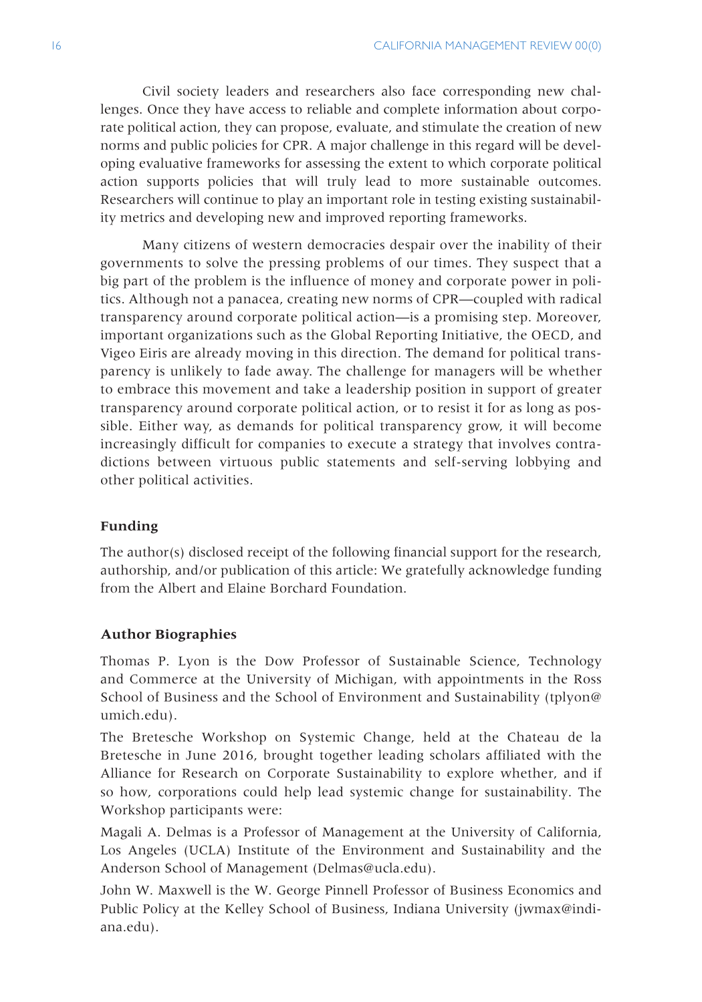Civil society leaders and researchers also face corresponding new challenges. Once they have access to reliable and complete information about corporate political action, they can propose, evaluate, and stimulate the creation of new norms and public policies for CPR. A major challenge in this regard will be developing evaluative frameworks for assessing the extent to which corporate political action supports policies that will truly lead to more sustainable outcomes. Researchers will continue to play an important role in testing existing sustainability metrics and developing new and improved reporting frameworks.

Many citizens of western democracies despair over the inability of their governments to solve the pressing problems of our times. They suspect that a big part of the problem is the influence of money and corporate power in politics. Although not a panacea, creating new norms of CPR—coupled with radical transparency around corporate political action—is a promising step. Moreover, important organizations such as the Global Reporting Initiative, the OECD, and Vigeo Eiris are already moving in this direction. The demand for political transparency is unlikely to fade away. The challenge for managers will be whether to embrace this movement and take a leadership position in support of greater transparency around corporate political action, or to resist it for as long as possible. Either way, as demands for political transparency grow, it will become increasingly difficult for companies to execute a strategy that involves contradictions between virtuous public statements and self-serving lobbying and other political activities.

#### **Funding**

The author(s) disclosed receipt of the following financial support for the research, authorship, and/or publication of this article: We gratefully acknowledge funding from the Albert and Elaine Borchard Foundation.

#### **Author Biographies**

Thomas P. Lyon is the Dow Professor of Sustainable Science, Technology and Commerce at the University of Michigan, with appointments in the Ross School of Business and the School of Environment and Sustainability ([tplyon@](mailto:tplyon@umich.edu) [umich.edu\)](mailto:tplyon@umich.edu).

The Bretesche Workshop on Systemic Change, held at the Chateau de la Bretesche in June 2016, brought together leading scholars affiliated with the Alliance for Research on Corporate Sustainability to explore whether, and if so how, corporations could help lead systemic change for sustainability. The Workshop participants were:

Magali A. Delmas is a Professor of Management at the University of California, Los Angeles (UCLA) Institute of the Environment and Sustainability and the Anderson School of Management ([Delmas@ucla.edu](mailto:Delmas@ucla.edu)).

John W. Maxwell is the W. George Pinnell Professor of Business Economics and Public Policy at the Kelley School of Business, Indiana University ([jwmax@indi](mailto:jwmax@indiana.edu)[ana.edu\)](mailto:jwmax@indiana.edu).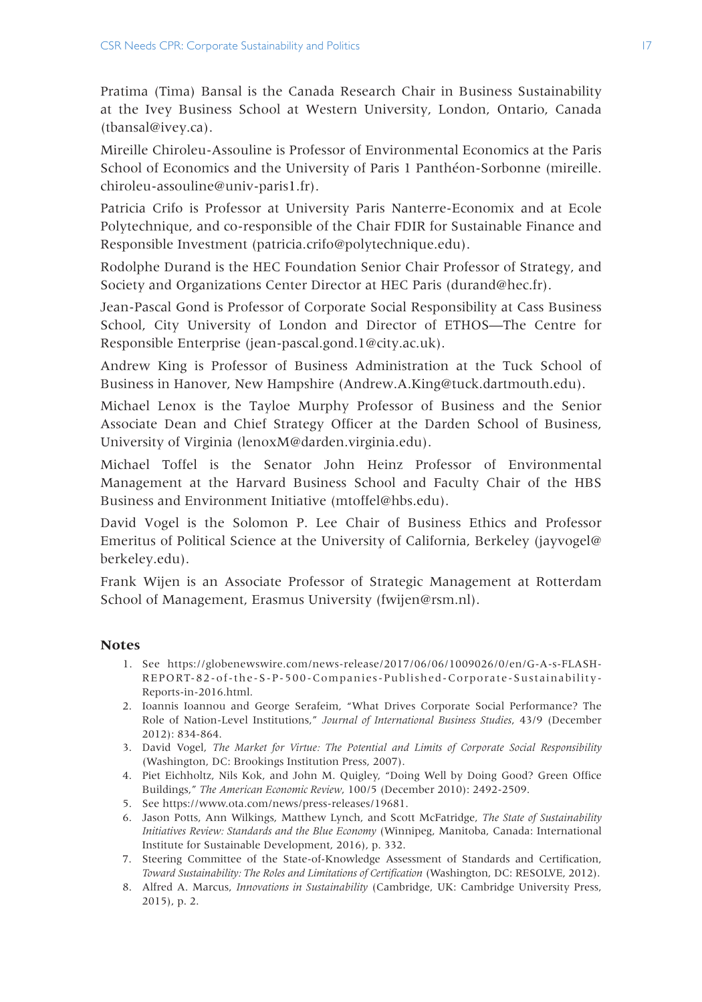Pratima (Tima) Bansal is the Canada Research Chair in Business Sustainability at the Ivey Business School at Western University, London, Ontario, Canada ([tbansal@ivey.ca](mailto:tbansal@ivey.ca)).

Mireille Chiroleu-Assouline is Professor of Environmental Economics at the Paris School of Economics and the University of Paris 1 Panthéon-Sorbonne [\(mireille.](mailto:mireille.chiroleu-assouline@univ-paris1.fr) [chiroleu-assouline@univ-paris1.fr](mailto:mireille.chiroleu-assouline@univ-paris1.fr)).

Patricia Crifo is Professor at University Paris Nanterre-Economix and at Ecole Polytechnique, and co-responsible of the Chair FDIR for Sustainable Finance and Responsible Investment [\(patricia.crifo@polytechnique.edu\)](mailto:patricia.crifo@polytechnique.edu).

Rodolphe Durand is the HEC Foundation Senior Chair Professor of Strategy, and Society and Organizations Center Director at HEC Paris ([durand@hec.fr](mailto:durand@hec.fr)).

Jean-Pascal Gond is Professor of Corporate Social Responsibility at Cass Business School, City University of London and Director of ETHOS—The Centre for Responsible Enterprise ([jean-pascal.gond.1@city.ac.uk](mailto:jean-pascal.gond.1@city.ac.uk)).

Andrew King is Professor of Business Administration at the Tuck School of Business in Hanover, New Hampshire ([Andrew.A.King@tuck.dartmouth.edu\)](mailto:Andrew.A.King@tuck.dartmouth.edu).

Michael Lenox is the Tayloe Murphy Professor of Business and the Senior Associate Dean and Chief Strategy Officer at the Darden School of Business, University of Virginia ([lenoxM@darden.virginia.edu](mailto:lenoxM@darden.virginia.edu)).

Michael Toffel is the Senator John Heinz Professor of Environmental Management at the Harvard Business School and Faculty Chair of the HBS Business and Environment Initiative [\(mtoffel@hbs.edu\)](mailto:mtoffel@hbs.edu).

David Vogel is the Solomon P. Lee Chair of Business Ethics and Professor Emeritus of Political Science at the University of California, Berkeley [\(jayvogel@](mailto:jayvogel@berkeley.edu) [berkeley.edu](mailto:jayvogel@berkeley.edu)).

Frank Wijen is an Associate Professor of Strategic Management at Rotterdam School of Management, Erasmus University ([fwijen@rsm.nl\)](mailto:fwijen@rsm.nl).

#### **Notes**

- 1. See [https://globenewswire.com/news-release/2017/06/06/1009026/0/en/G-A-s-FLASH-](https://globenewswire.com/news-release/2017/06/06/1009026/0/en/G-A-s-FLASH-
REPORT-82-of-the-S-P-500-Companies-Published-Corporate-Sustainability-Reports-in-2016.html)[REPORT-82-of-the-S-P-500-Companies-Published-Corporate-Sustainability-](https://globenewswire.com/news-release/2017/06/06/1009026/0/en/G-A-s-FLASH-
REPORT-82-of-the-S-P-500-Companies-Published-Corporate-Sustainability-Reports-in-2016.html)[Reports-in-2016.html](https://globenewswire.com/news-release/2017/06/06/1009026/0/en/G-A-s-FLASH-
REPORT-82-of-the-S-P-500-Companies-Published-Corporate-Sustainability-Reports-in-2016.html).
- 2. Ioannis Ioannou and George Serafeim, "What Drives Corporate Social Performance? The Role of Nation-Level Institutions," *Journal of International Business Studies*, 43/9 (December 2012): 834-864.
- 3. David Vogel, *The Market for Virtue: The Potential and Limits of Corporate Social Responsibility* (Washington, DC: Brookings Institution Press, 2007).
- 4. Piet Eichholtz, Nils Kok, and John M. Quigley, "Doing Well by Doing Good? Green Office Buildings," *The American Economic Review*, 100/5 (December 2010): 2492-2509.
- 5. See <https://www.ota.com/news/press-releases/19681>.
- 6. Jason Potts, Ann Wilkings, Matthew Lynch, and Scott McFatridge, *The State of Sustainability Initiatives Review: Standards and the Blue Economy* (Winnipeg, Manitoba, Canada: International Institute for Sustainable Development, 2016), p. 332.
- 7. Steering Committee of the State-of-Knowledge Assessment of Standards and Certification, *Toward Sustainability: The Roles and Limitations of Certification* (Washington, DC: RESOLVE, 2012).
- 8. Alfred A. Marcus, *Innovations in Sustainability* (Cambridge, UK: Cambridge University Press, 2015), p. 2.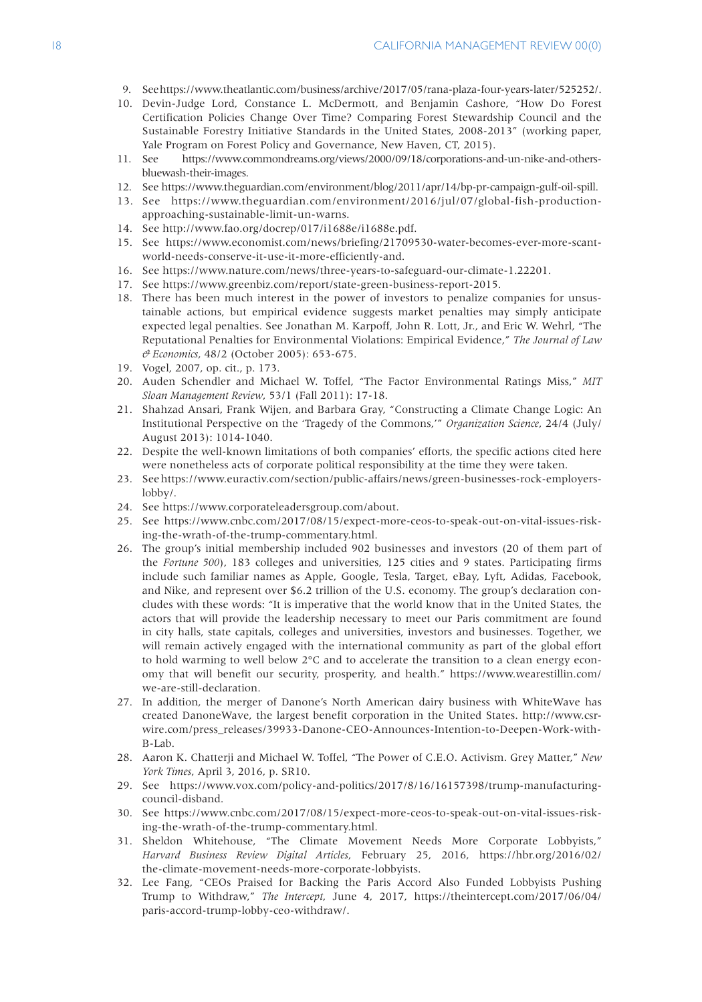- 9. See [https://www.theatlantic.com/business/archive/2017/05/rana-plaza-four-years-later/525252/.](https://www.theatlantic.com/business/archive/2017/05/rana-plaza-four-years-later/525252/)
- 10. Devin-Judge Lord, Constance L. McDermott, and Benjamin Cashore, "How Do Forest Certification Policies Change Over Time? Comparing Forest Stewardship Council and the Sustainable Forestry Initiative Standards in the United States, 2008-2013" (working paper, Yale Program on Forest Policy and Governance, New Haven, CT, 2015).
- 11. See [https://www.commondreams.org/views/2000/09/18/corporations-and-un-nike-and-others](https://www.commondreams.org/views/2000/09/18/corporations-and-un-nike-and-others-bluewash-their-images)[bluewash-their-images](https://www.commondreams.org/views/2000/09/18/corporations-and-un-nike-and-others-bluewash-their-images).
- 12. See<https://www.theguardian.com/environment/blog/2011/apr/14/bp-pr-campaign-gulf-oil-spill>.
- 13. See [https://www.theguardian.com/environment/2016/jul/07/global-fish-production](https://www.theguardian.com/environment/2016/jul/07/global-fish-production-
approaching-sustainable-limit-un-warns)[approaching-sustainable-limit-un-warns.](https://www.theguardian.com/environment/2016/jul/07/global-fish-production-
approaching-sustainable-limit-un-warns)
- 14. See <http://www.fao.org/docrep/017/i1688e/i1688e.pdf>.
- 15. See [https://www.economist.com/news/briefing/21709530-water-becomes-ever-more-scant](https://www.economist.com/news/briefing/21709530-water-becomes-ever-more-scant-world-needs-conserve-it-use-it-more-efficiently-and)[world-needs-conserve-it-use-it-more-efficiently-and](https://www.economist.com/news/briefing/21709530-water-becomes-ever-more-scant-world-needs-conserve-it-use-it-more-efficiently-and).
- 16. See [https://www.nature.com/news/three-years-to-safeguard-our-climate-1.22201.](https://www.nature.com/news/three-years-to-safeguard-our-climate-1.22201)
- 17. See [https://www.greenbiz.com/report/state-green-business-report-2015.](https://www.greenbiz.com/report/state-green-business-report-2015)
- 18. There has been much interest in the power of investors to penalize companies for unsustainable actions, but empirical evidence suggests market penalties may simply anticipate expected legal penalties. See Jonathan M. Karpoff, John R. Lott, Jr., and Eric W. Wehrl, "The Reputational Penalties for Environmental Violations: Empirical Evidence," *The Journal of Law & Economics*, 48/2 (October 2005): 653-675.
- 19. Vogel, 2007, op. cit., p. 173.
- 20. Auden Schendler and Michael W. Toffel, "The Factor Environmental Ratings Miss," *MIT Sloan Management Review*, 53/1 (Fall 2011): 17-18.
- 21. Shahzad Ansari, Frank Wijen, and Barbara Gray, "Constructing a Climate Change Logic: An Institutional Perspective on the 'Tragedy of the Commons,'" *Organization Science*, 24/4 (July/ August 2013): 1014-1040.
- 22. Despite the well-known limitations of both companies' efforts, the specific actions cited here were nonetheless acts of corporate political responsibility at the time they were taken.
- 23. See [https://www.euractiv.com/section/public-affairs/news/green-businesses-rock-employers](https://www.euractiv.com/section/public-affairs/news/green-businesses-rock-employers-
lobby/)[lobby/.](https://www.euractiv.com/section/public-affairs/news/green-businesses-rock-employers-
lobby/)
- 24. See <https://www.corporateleadersgroup.com/about>.
- 25. See [https://www.cnbc.com/2017/08/15/expect-more-ceos-to-speak-out-on-vital-issues-risk](https://www.cnbc.com/2017/08/15/expect-more-ceos-to-speak-out-on-vital-issues-risking-the-wrath-of-the-trump-commentary.html)[ing-the-wrath-of-the-trump-commentary.html.](https://www.cnbc.com/2017/08/15/expect-more-ceos-to-speak-out-on-vital-issues-risking-the-wrath-of-the-trump-commentary.html)
- 26. The group's initial membership included 902 businesses and investors (20 of them part of the *Fortune 500*), 183 colleges and universities, 125 cities and 9 states. Participating firms include such familiar names as Apple, Google, Tesla, Target, eBay, Lyft, Adidas, Facebook, and Nike, and represent over \$6.2 trillion of the U.S. economy. The group's declaration concludes with these words: "It is imperative that the world know that in the United States, the actors that will provide the leadership necessary to meet our Paris commitment are found in city halls, state capitals, colleges and universities, investors and businesses. Together, we will remain actively engaged with the international community as part of the global effort to hold warming to well below 2°C and to accelerate the transition to a clean energy economy that will benefit our security, prosperity, and health." [https://www.wearestillin.com/](https://www.wearestillin.com/we-are-still-declaration) [we-are-still-declaration.](https://www.wearestillin.com/we-are-still-declaration)
- 27. In addition, the merger of Danone's North American dairy business with WhiteWave has created DanoneWave, the largest benefit corporation in the United States. [http://www.csr](http://www.csrwire.com/press_releases/39933-Danone-CEO-Announces-Intention-to-Deepen-Work-with-B-Lab)[wire.com/press\\_releases/39933-Danone-CEO-Announces-Intention-to-Deepen-Work-with-](http://www.csrwire.com/press_releases/39933-Danone-CEO-Announces-Intention-to-Deepen-Work-with-B-Lab)[B-Lab](http://www.csrwire.com/press_releases/39933-Danone-CEO-Announces-Intention-to-Deepen-Work-with-B-Lab).
- 28. Aaron K. Chatterji and Michael W. Toffel, "The Power of C.E.O. Activism. Grey Matter," *New York Times*, April 3, 2016, p. SR10.
- 29. See [https://www.vox.com/policy-and-politics/2017/8/16/16157398/trump-manufacturing](https://www.vox.com/policy-and-politics/2017/8/16/16157398/trump-manufacturing-
council-disband)[council-disband](https://www.vox.com/policy-and-politics/2017/8/16/16157398/trump-manufacturing-
council-disband).
- 30. See [https://www.cnbc.com/2017/08/15/expect-more-ceos-to-speak-out-on-vital-issues-risk](https://www.cnbc.com/2017/08/15/expect-more-ceos-to-speak-out-on-vital-issues-risking-the-wrath-of-the-trump-commentary.html)[ing-the-wrath-of-the-trump-commentary.html.](https://www.cnbc.com/2017/08/15/expect-more-ceos-to-speak-out-on-vital-issues-risking-the-wrath-of-the-trump-commentary.html)
- 31. Sheldon Whitehouse, "The Climate Movement Needs More Corporate Lobbyists," *Harvard Business Review Digital Articles*, February 25, 2016, [https://hbr.org/2016/02/](https://hbr.org/2016/02/the-climate-movement-needs-more-corporate-lobbyists) [the-climate-movement-needs-more-corporate-lobbyists](https://hbr.org/2016/02/the-climate-movement-needs-more-corporate-lobbyists).
- 32. Lee Fang, "CEOs Praised for Backing the Paris Accord Also Funded Lobbyists Pushing Trump to Withdraw," *The Intercept*, June 4, 2017, [https://theintercept.com/2017/06/04/](https://theintercept.com/2017/06/04/paris-accord-trump-lobby-ceo-withdraw/) [paris-accord-trump-lobby-ceo-withdraw/.](https://theintercept.com/2017/06/04/paris-accord-trump-lobby-ceo-withdraw/)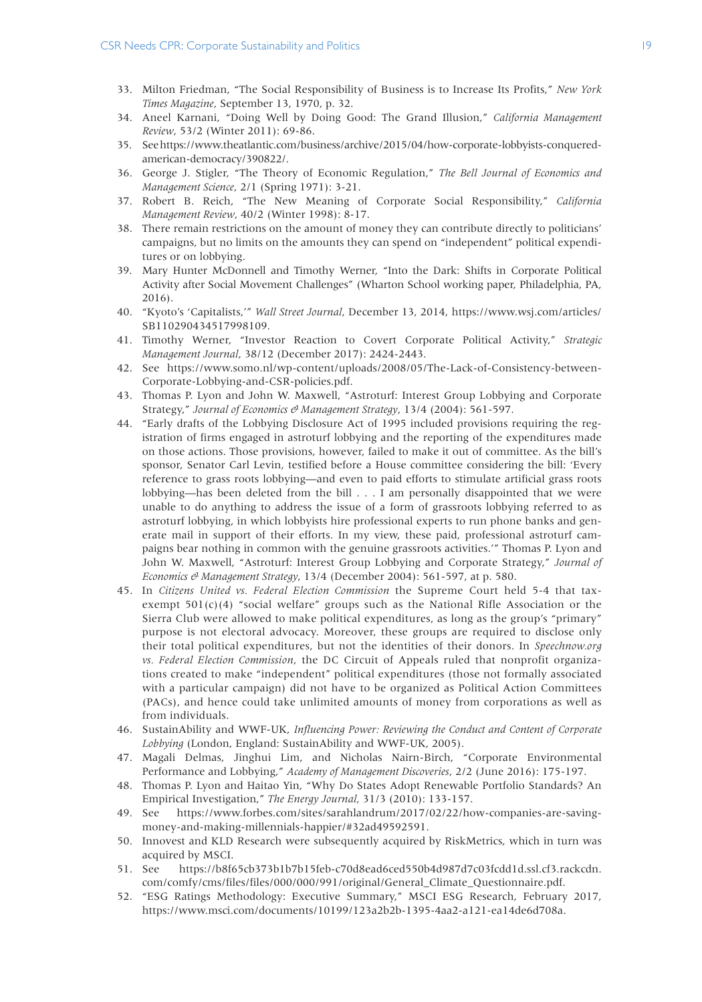- 33. Milton Friedman, "The Social Responsibility of Business is to Increase Its Profits," *New York Times Magazine*, September 13, 1970, p. 32.
- 34. Aneel Karnani, "Doing Well by Doing Good: The Grand Illusion," *California Management Review*, 53/2 (Winter 2011): 69-86.
- 35. See [https://www.theatlantic.com/business/archive/2015/04/how-corporate-lobbyists-conquered](https://www.theatlantic.com/business/archive/2015/04/how-corporate-lobbyists-conquered-
american-democracy/390822/)[american-democracy/390822/](https://www.theatlantic.com/business/archive/2015/04/how-corporate-lobbyists-conquered-
american-democracy/390822/).
- 36. George J. Stigler, "The Theory of Economic Regulation," *The Bell Journal of Economics and Management Science*, 2/1 (Spring 1971): 3-21.
- 37. Robert B. Reich, "The New Meaning of Corporate Social Responsibility," *California Management Review*, 40/2 (Winter 1998): 8-17.
- 38. There remain restrictions on the amount of money they can contribute directly to politicians' campaigns, but no limits on the amounts they can spend on "independent" political expenditures or on lobbying.
- 39. Mary Hunter McDonnell and Timothy Werner, "Into the Dark: Shifts in Corporate Political Activity after Social Movement Challenges" (Wharton School working paper, Philadelphia, PA, 2016).
- 40. "Kyoto's 'Capitalists,'" *Wall Street Journal*, December 13, 2014, [https://www.wsj.com/articles/](https://www.wsj.com/articles/SB110290434517998109) [SB110290434517998109.](https://www.wsj.com/articles/SB110290434517998109)
- 41. Timothy Werner, "Investor Reaction to Covert Corporate Political Activity," *Strategic Management Journal*, 38/12 (December 2017): 2424-2443.
- 42. See [https://www.somo.nl/wp-content/uploads/2008/05/The-Lack-of-Consistency-between-](https://www.somo.nl/wp-content/uploads/2008/05/The-Lack-of-Consistency-between-Corporate-Lobbying-and-CSR-policies.pdf)[Corporate-Lobbying-and-CSR-policies.pdf](https://www.somo.nl/wp-content/uploads/2008/05/The-Lack-of-Consistency-between-Corporate-Lobbying-and-CSR-policies.pdf).
- 43. Thomas P. Lyon and John W. Maxwell, "Astroturf: Interest Group Lobbying and Corporate Strategy," *Journal of Economics & Management Strategy*, 13/4 (2004): 561-597.
- 44. "Early drafts of the Lobbying Disclosure Act of 1995 included provisions requiring the registration of firms engaged in astroturf lobbying and the reporting of the expenditures made on those actions. Those provisions, however, failed to make it out of committee. As the bill's sponsor, Senator Carl Levin, testified before a House committee considering the bill: 'Every reference to grass roots lobbying—and even to paid efforts to stimulate artificial grass roots lobbying—has been deleted from the bill . . . I am personally disappointed that we were unable to do anything to address the issue of a form of grassroots lobbying referred to as astroturf lobbying, in which lobbyists hire professional experts to run phone banks and generate mail in support of their efforts. In my view, these paid, professional astroturf campaigns bear nothing in common with the genuine grassroots activities.'" Thomas P. Lyon and John W. Maxwell, "Astroturf: Interest Group Lobbying and Corporate Strategy," *Journal of Economics & Management Strategy*, 13/4 (December 2004): 561-597, at p. 580.
- 45. In *Citizens United vs. Federal Election Commission* the Supreme Court held 5-4 that taxexempt  $501(c)(4)$  "social welfare" groups such as the National Rifle Association or the Sierra Club were allowed to make political expenditures, as long as the group's "primary" purpose is not electoral advocacy. Moreover, these groups are required to disclose only their total political expenditures, but not the identities of their donors. In *Speechnow.org vs. Federal Election Commission*, the DC Circuit of Appeals ruled that nonprofit organizations created to make "independent" political expenditures (those not formally associated with a particular campaign) did not have to be organized as Political Action Committees (PACs), and hence could take unlimited amounts of money from corporations as well as from individuals.
- 46. SustainAbility and WWF-UK, *Influencing Power: Reviewing the Conduct and Content of Corporate Lobbying* (London, England: SustainAbility and WWF-UK, 2005).
- 47. Magali Delmas, Jinghui Lim, and Nicholas Nairn-Birch, "Corporate Environmental Performance and Lobbying," *Academy of Management Discoveries*, 2/2 (June 2016): 175-197.
- 48. Thomas P. Lyon and Haitao Yin, "Why Do States Adopt Renewable Portfolio Standards? An Empirical Investigation," *The Energy Journal*, 31/3 (2010): 133-157.
- 49. See [https://www.forbes.com/sites/sarahlandrum/2017/02/22/how-companies-are-saving](https://www.forbes.com/sites/sarahlandrum/2017/02/22/how-companies-are-saving-
money-and-making-millennials-happier/#32ad49592591)[money-and-making-millennials-happier/#32ad49592591.](https://www.forbes.com/sites/sarahlandrum/2017/02/22/how-companies-are-saving-
money-and-making-millennials-happier/#32ad49592591)
- 50. Innovest and KLD Research were subsequently acquired by RiskMetrics, which in turn was acquired by MSCI.
- 51. See [https://b8f65cb373b1b7b15feb-c70d8ead6ced550b4d987d7c03fcdd1d.ssl.cf3.rackcdn.](https://b8f65cb373b1b7b15feb-c70d8ead6ced550b4d987d7c03fcdd1d.ssl.cf3.rackcdn.com/comfy/cms/files/files/000/000/991/original/General_Climate_Questionnaire.pdf) [com/comfy/cms/files/files/000/000/991/original/General\\_Climate\\_Questionnaire.pdf.](https://b8f65cb373b1b7b15feb-c70d8ead6ced550b4d987d7c03fcdd1d.ssl.cf3.rackcdn.com/comfy/cms/files/files/000/000/991/original/General_Climate_Questionnaire.pdf)
- 52. "ESG Ratings Methodology: Executive Summary," MSCI ESG Research, February 2017, <https://www.msci.com/documents/10199/123a2b2b-1395-4aa2-a121-ea14de6d708a>.